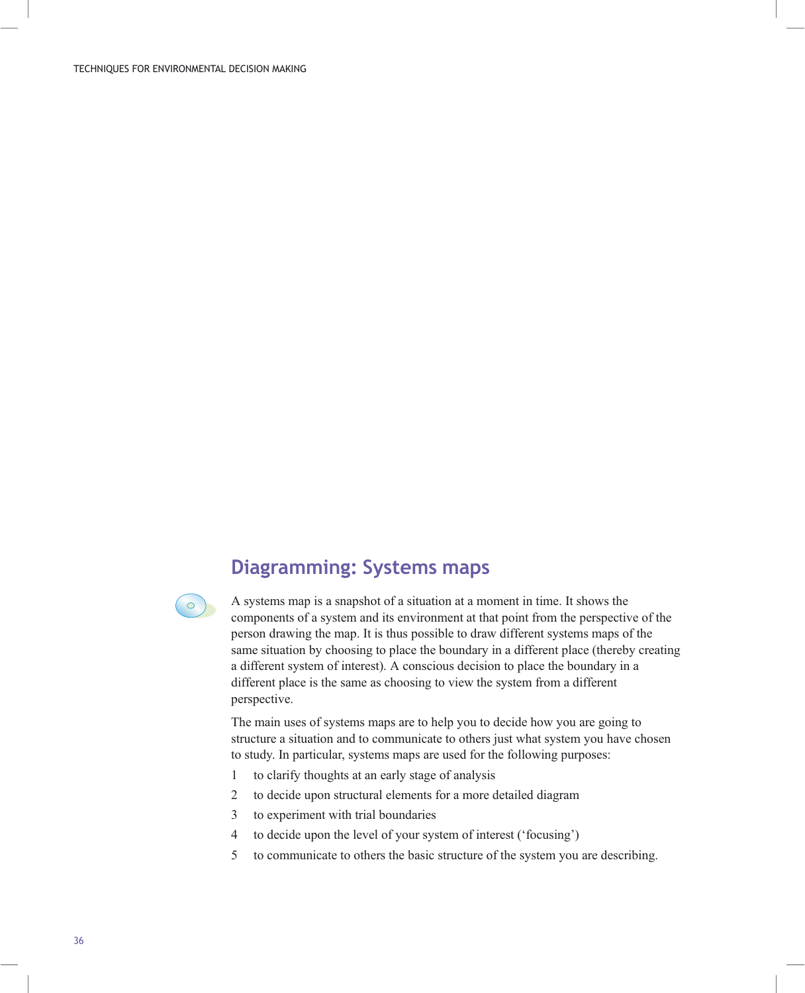## Diagramming: Systems maps



A systems map is a snapshot of a situation at a moment in time. It shows the components of a system and its environment at that point from the perspective of the person drawing the map. It is thus possible to draw different systems maps of the same situation by choosing to place the boundary in a different place (thereby creating a different system of interest). A conscious decision to place the boundary in a different place is the same as choosing to view the system from a different perspective.

The main uses of systems maps are to help you to decide how you are going to structure a situation and to communicate to others just what system you have chosen to study. In particular, systems maps are used for the following purposes:

- 1 to clarify thoughts at an early stage of analysis
- 2 to decide upon structural elements for a more detailed diagram
- 3 to experiment with trial boundaries
- 4 to decide upon the level of your system of interest ('focusing')
- 5 to communicate to others the basic structure of the system you are describing.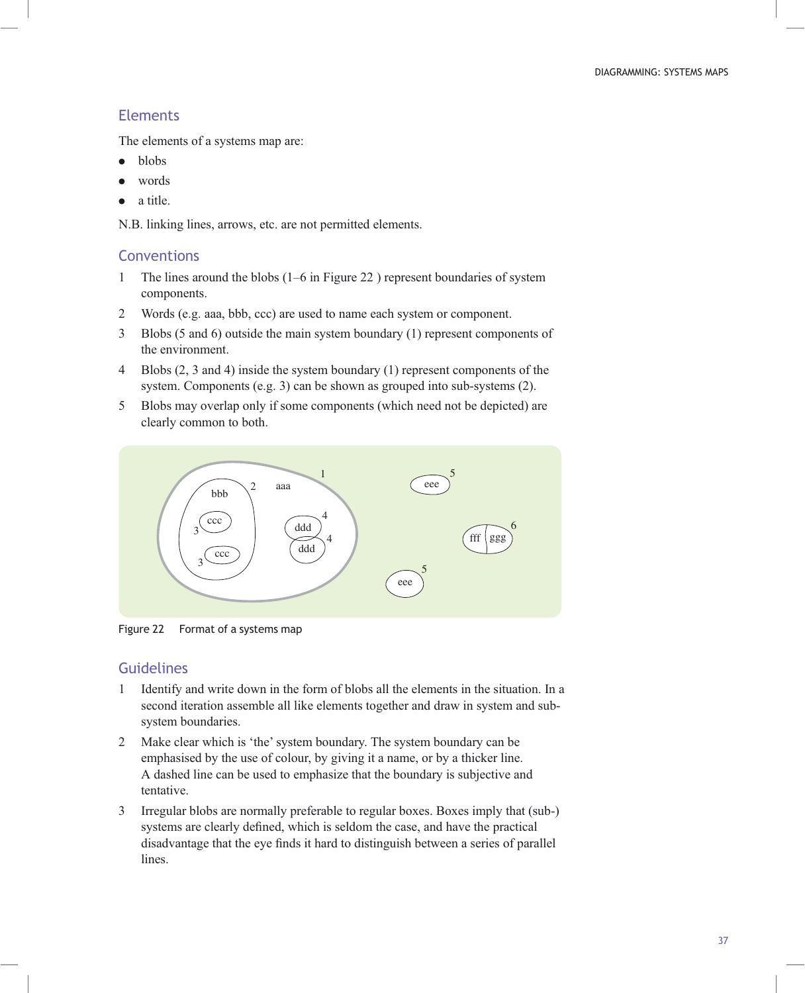## **Elements**

The elements of a systems map are:

- blobs
- . words
- . a title.

N.B. linking lines, arrows, etc. are not permitted elements.

## **Conventions**

- 1 The lines around the blobs (1–6 in Figure 22 ) represent boundaries of system components.
- 2 Words (e.g. aaa, bbb, ccc) are used to name each system or component.
- 3 Blobs (5 and 6) outside the main system boundary (1) represent components of the environment.
- 4 Blobs (2, 3 and 4) inside the system boundary (1) represent components of the system. Components (e.g. 3) can be shown as grouped into sub-systems (2).
- 5 Blobs may overlap only if some components (which need not be depicted) are clearly common to both.



Figure 22 Format of a systems map

## Guidelines

- 1 Identify and write down in the form of blobs all the elements in the situation. In a second iteration assemble all like elements together and draw in system and subsystem boundaries.
- 2 Make clear which is 'the' system boundary. The system boundary can be emphasised by the use of colour, by giving it a name, or by a thicker line. A dashed line can be used to emphasize that the boundary is subjective and tentative.
- 3 Irregular blobs are normally preferable to regular boxes. Boxes imply that (sub-) systems are clearly defined, which is seldom the case, and have the practical disadvantage that the eye finds it hard to distinguish between a series of parallel lines.